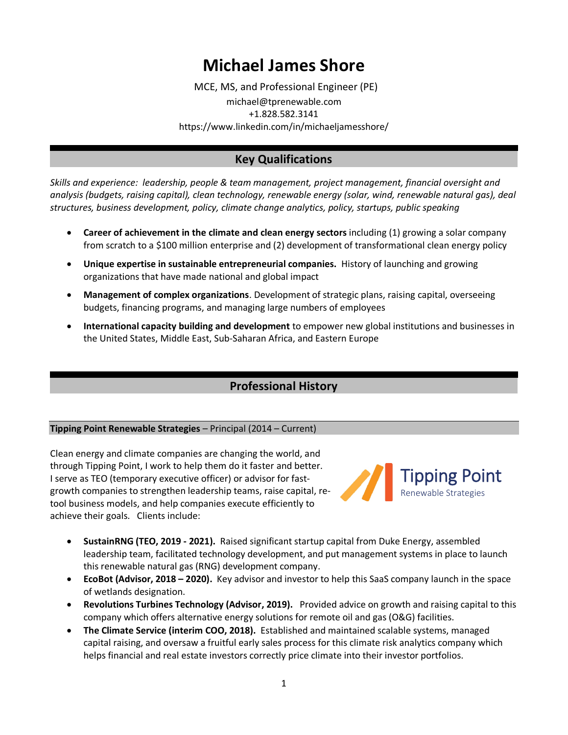# **Michael James Shore**

MCE, MS, and Professional Engineer (PE) michael@tprenewable.com +1.828.582.3141 https://www.linkedin.com/in/michaeljamesshore/

# **Key Qualifications**

*Skills and experience: leadership, people & team management, project management, financial oversight and analysis (budgets, raising capital), clean technology, renewable energy (solar, wind, renewable natural gas), deal structures, business development, policy, climate change analytics, policy, startups, public speaking*

- **Career of achievement in the climate and clean energy sectors** including (1) growing a solar company from scratch to a \$100 million enterprise and (2) development of transformational clean energy policy
- **Unique expertise in sustainable entrepreneurial companies.** History of launching and growing organizations that have made national and global impact
- **Management of complex organizations**. Development of strategic plans, raising capital, overseeing budgets, financing programs, and managing large numbers of employees
- **International capacity building and development** to empower new global institutions and businesses in the United States, Middle East, Sub-Saharan Africa, and Eastern Europe

# **Professional History**

#### **Tipping Point Renewable Strategies** – Principal (2014 – Current)

Clean energy and climate companies are changing the world, and through Tipping Point, I work to help them do it faster and better. I serve as TEO (temporary executive officer) or advisor for fastgrowth companies to strengthen leadership teams, raise capital, retool business models, and help companies execute efficiently to achieve their goals. Clients include:



- **SustainRNG (TEO, 2019 - 2021).** Raised significant startup capital from Duke Energy, assembled leadership team, facilitated technology development, and put management systems in place to launch this renewable natural gas (RNG) development company.
- **EcoBot (Advisor, 2018 – 2020).** Key advisor and investor to help this SaaS company launch in the space of wetlands designation.
- **Revolutions Turbines Technology (Advisor, 2019).** Provided advice on growth and raising capital to this company which offers alternative energy solutions for remote oil and gas (O&G) facilities.
- **The Climate Service (interim COO, 2018).** Established and maintained scalable systems, managed capital raising, and oversaw a fruitful early sales process for this climate risk analytics company which helps financial and real estate investors correctly price climate into their investor portfolios.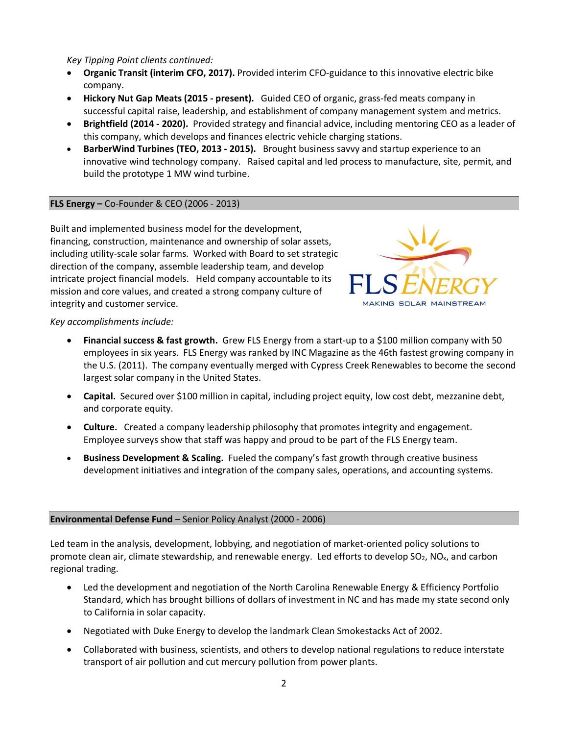*Key Tipping Point clients continued:* 

- **Organic Transit (interim CFO, 2017).** Provided interim CFO-guidance to this innovative electric bike company.
- **Hickory Nut Gap Meats (2015 - present).** Guided CEO of organic, grass-fed meats company in successful capital raise, leadership, and establishment of company management system and metrics.
- **Brightfield (2014 - 2020).** Provided strategy and financial advice, including mentoring CEO as a leader of this company, which develops and finances electric vehicle charging stations.
- **BarberWind Turbines (TEO, 2013 - 2015).** Brought business savvy and startup experience to an innovative wind technology company. Raised capital and led process to manufacture, site, permit, and build the prototype 1 MW wind turbine.

#### **FLS Energy –** Co-Founder & CEO (2006 - 2013)

Built and implemented business model for the development, financing, construction, maintenance and ownership of solar assets, including utility-scale solar farms. Worked with Board to set strategic direction of the company, assemble leadership team, and develop intricate project financial models. Held company accountable to its mission and core values, and created a strong company culture of integrity and customer service.



#### *Key accomplishments include:*

- **Financial success & fast growth.** Grew FLS Energy from a start-up to a \$100 million company with 50 employees in six years. FLS Energy was ranked by INC Magazine as the 46th fastest growing company in the U.S. (2011). The company eventually merged with Cypress Creek Renewables to become the second largest solar company in the United States.
- **Capital.** Secured over \$100 million in capital, including project equity, low cost debt, mezzanine debt, and corporate equity.
- **Culture.** Created a company leadership philosophy that promotes integrity and engagement. Employee surveys show that staff was happy and proud to be part of the FLS Energy team.
- **Business Development & Scaling.** Fueled the company's fast growth through creative business development initiatives and integration of the company sales, operations, and accounting systems.

#### **Environmental Defense Fund** – Senior Policy Analyst (2000 - 2006)

Led team in the analysis, development, lobbying, and negotiation of market-oriented policy solutions to promote clean air, climate stewardship, and renewable energy. Led efforts to develop SO<sub>2</sub>, NO<sub>x</sub>, and carbon regional trading.

- Led the development and negotiation of the North Carolina Renewable Energy & Efficiency Portfolio Standard, which has brought billions of dollars of investment in NC and has made my state second only to California in solar capacity.
- Negotiated with Duke Energy to develop the landmark Clean Smokestacks Act of 2002.
- Collaborated with business, scientists, and others to develop national regulations to reduce interstate transport of air pollution and cut mercury pollution from power plants.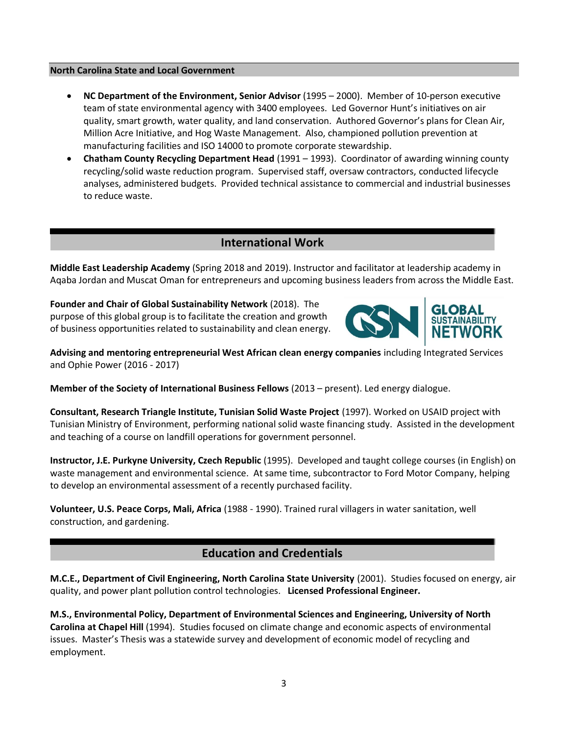#### **North Carolina State and Local Government**

- **NC Department of the Environment, Senior Advisor** (1995 2000). Member of 10-person executive team of state environmental agency with 3400 employees. Led Governor Hunt's initiatives on air quality, smart growth, water quality, and land conservation. Authored Governor's plans for Clean Air, Million Acre Initiative, and Hog Waste Management. Also, championed pollution prevention at manufacturing facilities and ISO 14000 to promote corporate stewardship.
- **Chatham County Recycling Department Head** (1991 1993). Coordinator of awarding winning county recycling/solid waste reduction program. Supervised staff, oversaw contractors, conducted lifecycle analyses, administered budgets. Provided technical assistance to commercial and industrial businesses to reduce waste.

### **International Work**

**Middle East Leadership Academy** (Spring 2018 and 2019). Instructor and facilitator at leadership academy in Aqaba Jordan and Muscat Oman for entrepreneurs and upcoming business leaders from across the Middle East.

**Founder and Chair of Global Sustainability Network** (2018). The purpose of this global group is to facilitate the creation and growth of business opportunities related to sustainability and clean energy.



**Advising and mentoring entrepreneurial West African clean energy companies** including Integrated Services and Ophie Power (2016 - 2017)

**Member of the Society of International Business Fellows** (2013 – present). Led energy dialogue.

**Consultant, Research Triangle Institute, Tunisian Solid Waste Project** (1997). Worked on USAID project with Tunisian Ministry of Environment, performing national solid waste financing study. Assisted in the development and teaching of a course on landfill operations for government personnel.

**Instructor, J.E. Purkyne University, Czech Republic** (1995).Developed and taught college courses (in English) on waste management and environmental science. At same time, subcontractor to Ford Motor Company, helping to develop an environmental assessment of a recently purchased facility.

**Volunteer, U.S. Peace Corps, Mali, Africa** (1988 - 1990). Trained rural villagers in water sanitation, well construction, and gardening.

## **Education and Credentials**

**M.C.E., Department of Civil Engineering, North Carolina State University** (2001). Studies focused on energy, air quality, and power plant pollution control technologies. **Licensed Professional Engineer.**

**M.S., Environmental Policy, Department of Environmental Sciences and Engineering, University of North Carolina at Chapel Hill** (1994). Studies focused on climate change and economic aspects of environmental issues. Master's Thesis was a statewide survey and development of economic model of recycling and employment.